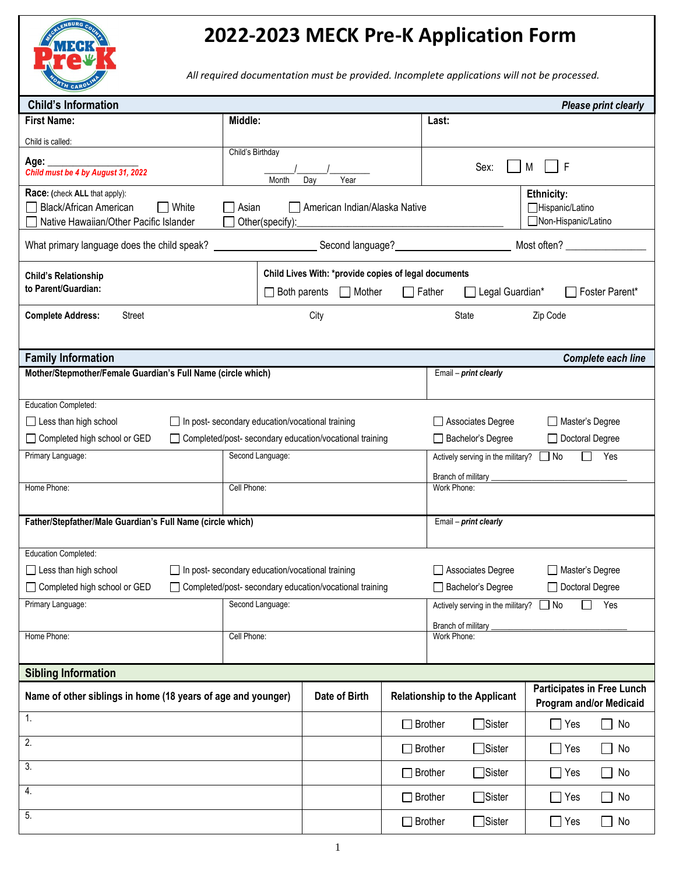

## **2022-2023 MECK Pre-K Application Form**

*All required documentation must be provided. Incomplete applications will not be processed.*

| <b>Child's Information</b><br><b>Please print clearly</b>    |                                                           |                                                                                                                                                 |                                               |                                                              |                                                              |  |
|--------------------------------------------------------------|-----------------------------------------------------------|-------------------------------------------------------------------------------------------------------------------------------------------------|-----------------------------------------------|--------------------------------------------------------------|--------------------------------------------------------------|--|
| <b>First Name:</b>                                           | Middle:                                                   |                                                                                                                                                 |                                               | Last:                                                        |                                                              |  |
| Child is called:                                             |                                                           |                                                                                                                                                 |                                               |                                                              |                                                              |  |
| Age: _                                                       | Child's Birthday                                          |                                                                                                                                                 |                                               |                                                              |                                                              |  |
| Child must be 4 by August 31, 2022                           |                                                           | Year                                                                                                                                            |                                               | Sex:                                                         | F<br>М                                                       |  |
| Race: (check ALL that apply):                                | Month                                                     | Day                                                                                                                                             |                                               |                                                              | Ethnicity:                                                   |  |
| Black/African American<br>White                              | $\Box$ Asian                                              | American Indian/Alaska Native                                                                                                                   |                                               |                                                              | Hispanic/Latino                                              |  |
| Native Hawaiian/Other Pacific Islander                       | Other(specify):                                           |                                                                                                                                                 |                                               |                                                              | Non-Hispanic/Latino                                          |  |
| What primary language does the child speak?                  |                                                           |                                                                                                                                                 |                                               | Second language?<br><u>Second language?</u>                  | Most often? _________________                                |  |
| <b>Child's Relationship</b>                                  |                                                           |                                                                                                                                                 |                                               |                                                              |                                                              |  |
| to Parent/Guardian:                                          |                                                           | Child Lives With: *provide copies of legal documents<br>Legal Guardian*<br>Foster Parent*<br>$\Box$ Both parents $\Box$ Mother<br>$\Box$ Father |                                               |                                                              |                                                              |  |
|                                                              |                                                           |                                                                                                                                                 |                                               |                                                              |                                                              |  |
| <b>Complete Address:</b><br>Street                           |                                                           | City                                                                                                                                            |                                               | State                                                        | Zip Code                                                     |  |
|                                                              |                                                           |                                                                                                                                                 |                                               |                                                              |                                                              |  |
| <b>Family Information</b>                                    |                                                           |                                                                                                                                                 |                                               |                                                              | Complete each line                                           |  |
| Mother/Stepmother/Female Guardian's Full Name (circle which) |                                                           |                                                                                                                                                 |                                               | Email - print clearly                                        |                                                              |  |
|                                                              |                                                           |                                                                                                                                                 |                                               |                                                              |                                                              |  |
| Education Completed:                                         |                                                           |                                                                                                                                                 |                                               |                                                              |                                                              |  |
| $\Box$ Less than high school                                 | □ In post- secondary education/vocational training        |                                                                                                                                                 |                                               | Associates Degree<br>□ Master's Degree                       |                                                              |  |
| □ Completed high school or GED                               | □ Completed/post- secondary education/vocational training |                                                                                                                                                 |                                               | Bachelor's Degree<br>Doctoral Degree                         |                                                              |  |
| Primary Language:                                            | Second Language:                                          |                                                                                                                                                 |                                               | $\Box$ Yes<br>Actively serving in the military? $\Box$ No    |                                                              |  |
|                                                              |                                                           |                                                                                                                                                 |                                               | Branch of military _                                         |                                                              |  |
| Home Phone:                                                  | Cell Phone:                                               |                                                                                                                                                 |                                               | Work Phone:                                                  |                                                              |  |
|                                                              |                                                           |                                                                                                                                                 |                                               |                                                              |                                                              |  |
| Father/Stepfather/Male Guardian's Full Name (circle which)   |                                                           |                                                                                                                                                 |                                               | Email - print clearly                                        |                                                              |  |
|                                                              |                                                           |                                                                                                                                                 |                                               |                                                              |                                                              |  |
| Education Completed:                                         |                                                           |                                                                                                                                                 |                                               |                                                              |                                                              |  |
| $\Box$ Less than high school                                 | □ In post- secondary education/vocational training        |                                                                                                                                                 |                                               | Associates Degree<br>Master's Degree                         |                                                              |  |
| □ Completed high school or GED                               | □ Completed/post- secondary education/vocational training |                                                                                                                                                 |                                               | Bachelor's Degree<br>□ Doctoral Degree                       |                                                              |  |
| Primary Language:                                            | Second Language:                                          |                                                                                                                                                 |                                               | Yes<br>Actively serving in the military? $\Box$ No<br>$\Box$ |                                                              |  |
|                                                              |                                                           |                                                                                                                                                 |                                               | Branch of military<br>Work Phone:                            |                                                              |  |
| Home Phone:                                                  | Cell Phone:                                               |                                                                                                                                                 |                                               |                                                              |                                                              |  |
|                                                              |                                                           |                                                                                                                                                 |                                               |                                                              |                                                              |  |
| <b>Sibling Information</b>                                   |                                                           |                                                                                                                                                 |                                               |                                                              |                                                              |  |
| Name of other siblings in home (18 years of age and younger) |                                                           | Date of Birth                                                                                                                                   |                                               | <b>Relationship to the Applicant</b>                         | <b>Participates in Free Lunch</b><br>Program and/or Medicaid |  |
| $\mathbf{1}$ .                                               |                                                           |                                                                                                                                                 | $\Box$ Sister<br>$\Box$ Brother<br>$\Box$ Yes |                                                              | $\Box$ No                                                    |  |
| 2.                                                           |                                                           |                                                                                                                                                 | $\Box$ Brother                                | $\Box$ Sister                                                | $\Box$ Yes<br>$\Box$ No                                      |  |
| $\overline{3}$ .                                             |                                                           |                                                                                                                                                 | $\Box$ Brother                                | $\Box$ Sister                                                | $\Box$ Yes<br>$\Box$ No                                      |  |
| 4.                                                           |                                                           |                                                                                                                                                 | $\Box$ Brother                                | $\Box$ Sister                                                | $\Box$ Yes<br>$\Box$ No                                      |  |
| 5.                                                           |                                                           |                                                                                                                                                 | $\Box$ Brother                                | □Sister                                                      | $\Box$ Yes<br>$\Box$ No                                      |  |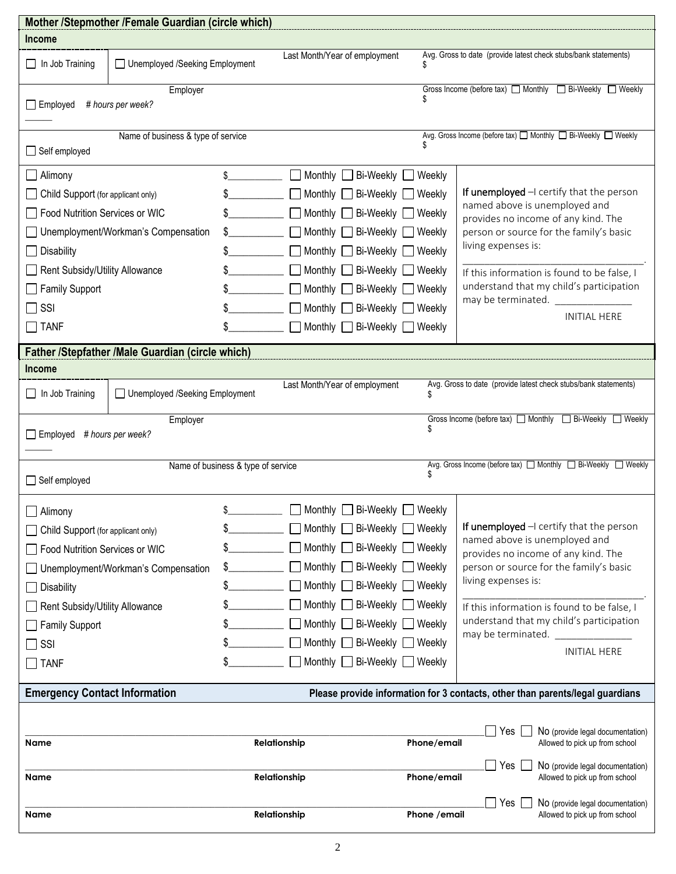|                                                                                                                                                     | Mother /Stepmother /Female Guardian (circle which) |                                    |                                               |               |                                                                                         |  |
|-----------------------------------------------------------------------------------------------------------------------------------------------------|----------------------------------------------------|------------------------------------|-----------------------------------------------|---------------|-----------------------------------------------------------------------------------------|--|
| Income                                                                                                                                              |                                                    |                                    |                                               |               |                                                                                         |  |
| $\Box$ In Job Training                                                                                                                              | □ Unemployed /Seeking Employment                   |                                    | Last Month/Year of employment                 |               | Avg. Gross to date (provide latest check stubs/bank statements)                         |  |
| Gross Income (before tax)<br><u> </u> <b>I</b> Monthly<br><b>I</b> Bi-Weekly<br><b>I</b> Weekly<br>Employer<br>$\Box$ Employed<br># hours per week? |                                                    |                                    |                                               |               |                                                                                         |  |
|                                                                                                                                                     |                                                    |                                    |                                               |               |                                                                                         |  |
| Name of business & type of service<br>$\Box$ Self employed                                                                                          |                                                    |                                    |                                               |               | Avg. Gross Income (before tax) □ Monthly □ Bi-Weekly □ Weekly                           |  |
| Alimony                                                                                                                                             |                                                    | \$                                 | ■ Monthly Bi-Weekly ■ Weekly                  |               |                                                                                         |  |
| Child Support (for applicant only)                                                                                                                  |                                                    |                                    | Monthly $\Box$ Bi-Weekly                      | Weekly        | If unemployed $-1$ certify that the person                                              |  |
| Food Nutrition Services or WIC                                                                                                                      |                                                    |                                    | Monthly $\Box$ Bi-Weekly                      | Weekly        | named above is unemployed and                                                           |  |
|                                                                                                                                                     | Unemployment/Workman's Compensation                | $\frac{1}{2}$                      | Monthly Bi-Weekly Weekly                      |               | provides no income of any kind. The<br>person or source for the family's basic          |  |
| Disability                                                                                                                                          |                                                    |                                    | ■ Monthly Bi-Weekly ■ Weekly                  |               | living expenses is:                                                                     |  |
| Rent Subsidy/Utility Allowance                                                                                                                      |                                                    |                                    | Monthly <b>D</b> Bi-Weekly <b>D</b> Weekly    |               | If this information is found to be false, I                                             |  |
| <b>Family Support</b>                                                                                                                               |                                                    |                                    | ■ Monthly Bi-Weekly ■ Weekly                  |               | understand that my child's participation                                                |  |
| $\Box$ SSI                                                                                                                                          |                                                    |                                    | $\Box$ Monthly $\Box$ Bi-Weekly $\Box$ Weekly |               | may be terminated.                                                                      |  |
| $\Box$ TANF                                                                                                                                         |                                                    |                                    | Monthly Bi-Weekly Neekly                      |               | <b>INITIAL HERE</b>                                                                     |  |
| Father /Stepfather /Male Guardian (circle which)                                                                                                    |                                                    |                                    |                                               |               |                                                                                         |  |
| <b>Income</b>                                                                                                                                       |                                                    |                                    |                                               |               |                                                                                         |  |
| $\Box$ In Job Training                                                                                                                              | □ Unemployed /Seeking Employment                   |                                    | Last Month/Year of employment                 | \$            | Avg. Gross to date (provide latest check stubs/bank statements)                         |  |
| Gross Income (before tax) Monthly <b>D</b> Bi-Weekly Neekly<br>Employer<br>$\Box$ Employed # hours per week?                                        |                                                    |                                    |                                               |               |                                                                                         |  |
| $\Box$ Self employed                                                                                                                                |                                                    | Name of business & type of service |                                               |               | Avg. Gross Income (before tax) $\Box$ Monthly $\Box$ Bi-Weekly $\Box$ Weekly            |  |
| Alimony                                                                                                                                             |                                                    | \$                                 | Monthly<br>Bi-Weekly                          | Weekly        |                                                                                         |  |
| Child Support (for applicant only)                                                                                                                  |                                                    |                                    | Monthly [<br>Bi-Weekly                        | Weekly        | If unemployed $-1$ certify that the person                                              |  |
| Food Nutrition Services or WIC                                                                                                                      |                                                    |                                    | Monthly [<br>Bi-Weekly                        | Weekly        | named above is unemployed and<br>provides no income of any kind. The                    |  |
|                                                                                                                                                     | Unemployment/Workman's Compensation                |                                    | Bi-Weekly<br>Monthly                          | Weekly        | person or source for the family's basic                                                 |  |
| <b>Disability</b>                                                                                                                                   |                                                    | \$                                 | Monthly [<br>$\Box$ Bi-Weekly                 | Weekly        | living expenses is:                                                                     |  |
| Rent Subsidy/Utility Allowance                                                                                                                      |                                                    |                                    | ∃ Bi-Weekly<br>Monthly [                      | Weekly        | If this information is found to be false, I                                             |  |
| <b>Family Support</b>                                                                                                                               |                                                    |                                    | Bi-Weekly<br>Monthly                          | Weekly        | understand that my child's participation                                                |  |
| SSI                                                                                                                                                 |                                                    |                                    | Monthly $\Box$ Bi-Weekly                      | __  Weekly    | may be terminated.                                                                      |  |
| <b>TANF</b>                                                                                                                                         |                                                    | \$                                 | Monthly $\Box$<br>Bi-Weekly                   | ◯ Weekly      | <b>INITIAL HERE</b>                                                                     |  |
| <b>Emergency Contact Information</b>                                                                                                                |                                                    |                                    |                                               |               | Please provide information for 3 contacts, other than parents/legal guardians           |  |
|                                                                                                                                                     |                                                    |                                    |                                               |               |                                                                                         |  |
| Name                                                                                                                                                |                                                    |                                    | Relationship                                  | Phone/email   | Yes $\vert$<br>No (provide legal documentation)<br>Allowed to pick up from school       |  |
| Name                                                                                                                                                |                                                    |                                    | Relationship                                  | Phone/email   | $\sqsupset$ Yes  <br>No (provide legal documentation)<br>Allowed to pick up from school |  |
|                                                                                                                                                     |                                                    |                                    |                                               |               | Yes <sup>1</sup><br>No (provide legal documentation)                                    |  |
| Name                                                                                                                                                |                                                    |                                    | Relationship                                  | Phone / email | Allowed to pick up from school                                                          |  |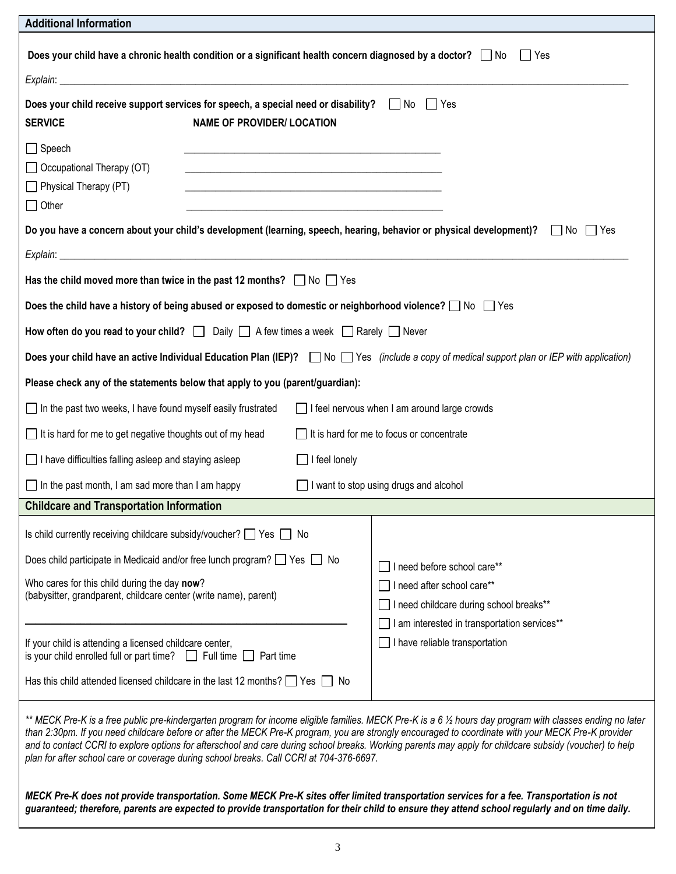| <b>Additional Information</b>                                                                                                                                                                                                                                                                                                                                                                                                                                                                                                                                        |                                                                                                                                              |                                                                                                                                             |  |  |  |
|----------------------------------------------------------------------------------------------------------------------------------------------------------------------------------------------------------------------------------------------------------------------------------------------------------------------------------------------------------------------------------------------------------------------------------------------------------------------------------------------------------------------------------------------------------------------|----------------------------------------------------------------------------------------------------------------------------------------------|---------------------------------------------------------------------------------------------------------------------------------------------|--|--|--|
| Does your child have a chronic health condition or a significant health concern diagnosed by a doctor? $\Box$ No<br>  Yes                                                                                                                                                                                                                                                                                                                                                                                                                                            |                                                                                                                                              |                                                                                                                                             |  |  |  |
|                                                                                                                                                                                                                                                                                                                                                                                                                                                                                                                                                                      |                                                                                                                                              |                                                                                                                                             |  |  |  |
| <b>SERVICE</b>                                                                                                                                                                                                                                                                                                                                                                                                                                                                                                                                                       | Does your child receive support services for speech, a special need or disability? $\Box$ No $\Box$ Yes<br><b>NAME OF PROVIDER/ LOCATION</b> |                                                                                                                                             |  |  |  |
| $\Box$ Speech<br>$\Box$ Occupational Therapy (OT)<br>$\Box$ Physical Therapy (PT)<br>$\Box$ Other                                                                                                                                                                                                                                                                                                                                                                                                                                                                    | <u> 1989 - Johann Barn, mars an deus an deus Amerikaansk kommunister (* 1950)</u>                                                            |                                                                                                                                             |  |  |  |
|                                                                                                                                                                                                                                                                                                                                                                                                                                                                                                                                                                      |                                                                                                                                              | Do you have a concern about your child's development (learning, speech, hearing, behavior or physical development)?<br>$\Box$ No $\Box$ Yes |  |  |  |
|                                                                                                                                                                                                                                                                                                                                                                                                                                                                                                                                                                      |                                                                                                                                              |                                                                                                                                             |  |  |  |
|                                                                                                                                                                                                                                                                                                                                                                                                                                                                                                                                                                      | Has the child moved more than twice in the past 12 months? $\Box$ No $\Box$ Yes                                                              |                                                                                                                                             |  |  |  |
|                                                                                                                                                                                                                                                                                                                                                                                                                                                                                                                                                                      | Does the child have a history of being abused or exposed to domestic or neighborhood violence? $\Box$ No $\Box$ Yes                          |                                                                                                                                             |  |  |  |
|                                                                                                                                                                                                                                                                                                                                                                                                                                                                                                                                                                      | How often do you read to your child? $\Box$ Daily $\Box$ A few times a week $\Box$ Rarely $\Box$ Never                                       |                                                                                                                                             |  |  |  |
| Does your child have an active Individual Education Plan (IEP)? No Ses (include a copy of medical support plan or IEP with application)                                                                                                                                                                                                                                                                                                                                                                                                                              |                                                                                                                                              |                                                                                                                                             |  |  |  |
| Please check any of the statements below that apply to you (parent/guardian):                                                                                                                                                                                                                                                                                                                                                                                                                                                                                        |                                                                                                                                              |                                                                                                                                             |  |  |  |
| $\Box$ In the past two weeks, I have found myself easily frustrated                                                                                                                                                                                                                                                                                                                                                                                                                                                                                                  |                                                                                                                                              | I feel nervous when I am around large crowds                                                                                                |  |  |  |
| $\Box$ It is hard for me to get negative thoughts out of my head                                                                                                                                                                                                                                                                                                                                                                                                                                                                                                     |                                                                                                                                              | It is hard for me to focus or concentrate                                                                                                   |  |  |  |
| $\Box$ I have difficulties falling asleep and staying asleep                                                                                                                                                                                                                                                                                                                                                                                                                                                                                                         | I feel lonely                                                                                                                                |                                                                                                                                             |  |  |  |
| $\Box$ In the past month, I am sad more than I am happy                                                                                                                                                                                                                                                                                                                                                                                                                                                                                                              |                                                                                                                                              | $\Box$ I want to stop using drugs and alcohol                                                                                               |  |  |  |
| <b>Childcare and Transportation Information</b>                                                                                                                                                                                                                                                                                                                                                                                                                                                                                                                      |                                                                                                                                              |                                                                                                                                             |  |  |  |
| Is child currently receiving childcare subsidy/voucher? $\Box$ Yes $\Box$ No                                                                                                                                                                                                                                                                                                                                                                                                                                                                                         |                                                                                                                                              |                                                                                                                                             |  |  |  |
| Does child participate in Medicaid and/or free lunch program? $\Box$ Yes $\Box$ No                                                                                                                                                                                                                                                                                                                                                                                                                                                                                   |                                                                                                                                              | I need before school care**                                                                                                                 |  |  |  |
| Who cares for this child during the day now?<br>(babysitter, grandparent, childcare center (write name), parent)                                                                                                                                                                                                                                                                                                                                                                                                                                                     |                                                                                                                                              | □ I need after school care**                                                                                                                |  |  |  |
|                                                                                                                                                                                                                                                                                                                                                                                                                                                                                                                                                                      |                                                                                                                                              | I need childcare during school breaks**                                                                                                     |  |  |  |
| If your child is attending a licensed childcare center,<br>is your child enrolled full or part time? $\Box$ Full time $\Box$ Part time                                                                                                                                                                                                                                                                                                                                                                                                                               |                                                                                                                                              | I am interested in transportation services**<br>$\Box$ I have reliable transportation                                                       |  |  |  |
| Has this child attended licensed childcare in the last 12 months? $\Box$ Yes $\Box$ No                                                                                                                                                                                                                                                                                                                                                                                                                                                                               |                                                                                                                                              |                                                                                                                                             |  |  |  |
| ** MECK Pre-K is a free public pre-kindergarten program for income eligible families. MECK Pre-K is a 6 ½ hours day program with classes ending no later<br>than 2:30pm. If you need childcare before or after the MECK Pre-K program, you are strongly encouraged to coordinate with your MECK Pre-K provider<br>and to contact CCRI to explore options for afterschool and care during school breaks. Working parents may apply for childcare subsidy (voucher) to help<br>plan for after school care or coverage during school breaks. Call CCRI at 704-376-6697. |                                                                                                                                              |                                                                                                                                             |  |  |  |
| MECK Pre-K does not provide transportation. Some MECK Pre-K sites offer limited transportation services for a fee. Transportation is not<br>guaranteed; therefore, parents are expected to provide transportation for their child to ensure they attend school regularly and on time daily.                                                                                                                                                                                                                                                                          |                                                                                                                                              |                                                                                                                                             |  |  |  |